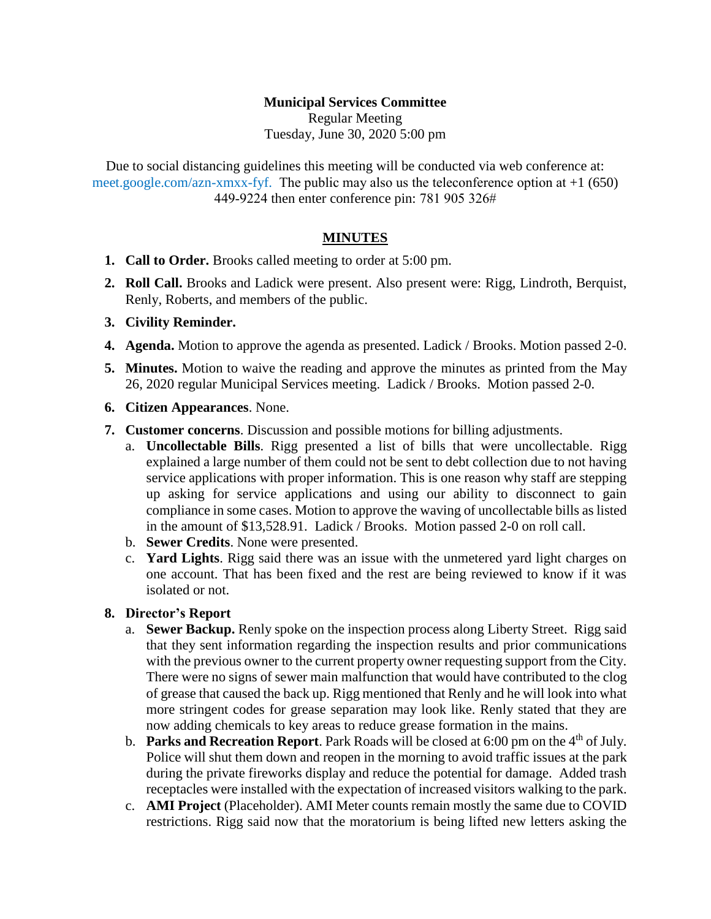## **Municipal Services Committee**

Regular Meeting Tuesday, June 30, 2020 5:00 pm

Due to social distancing guidelines this meeting will be conducted via web conference at: meet.google.com/azn-xmxx-fyf. The public may also us the teleconference option at  $+1$  (650) 449-9224 then enter conference pin: 781 905 326#

### **MINUTES**

- **1. Call to Order.** Brooks called meeting to order at 5:00 pm.
- **2. Roll Call.** Brooks and Ladick were present. Also present were: Rigg, Lindroth, Berquist, Renly, Roberts, and members of the public.
- **3. Civility Reminder.**
- **4. Agenda.** Motion to approve the agenda as presented. Ladick / Brooks. Motion passed 2-0.
- **5. Minutes.** Motion to waive the reading and approve the minutes as printed from the May 26, 2020 regular Municipal Services meeting. Ladick / Brooks. Motion passed 2-0.
- **6. Citizen Appearances**. None.
- **7. Customer concerns**. Discussion and possible motions for billing adjustments.
	- a. **Uncollectable Bills**. Rigg presented a list of bills that were uncollectable. Rigg explained a large number of them could not be sent to debt collection due to not having service applications with proper information. This is one reason why staff are stepping up asking for service applications and using our ability to disconnect to gain compliance in some cases. Motion to approve the waving of uncollectable bills as listed in the amount of \$13,528.91. Ladick / Brooks. Motion passed 2-0 on roll call.
	- b. **Sewer Credits**. None were presented.
	- c. **Yard Lights**. Rigg said there was an issue with the unmetered yard light charges on one account. That has been fixed and the rest are being reviewed to know if it was isolated or not.

#### **8. Director's Report**

- a. **Sewer Backup.** Renly spoke on the inspection process along Liberty Street. Rigg said that they sent information regarding the inspection results and prior communications with the previous owner to the current property owner requesting support from the City. There were no signs of sewer main malfunction that would have contributed to the clog of grease that caused the back up. Rigg mentioned that Renly and he will look into what more stringent codes for grease separation may look like. Renly stated that they are now adding chemicals to key areas to reduce grease formation in the mains.
- b. **Parks and Recreation Report**. Park Roads will be closed at 6:00 pm on the 4th of July. Police will shut them down and reopen in the morning to avoid traffic issues at the park during the private fireworks display and reduce the potential for damage. Added trash receptacles were installed with the expectation of increased visitors walking to the park.
- c. **AMI Project** (Placeholder). AMI Meter counts remain mostly the same due to COVID restrictions. Rigg said now that the moratorium is being lifted new letters asking the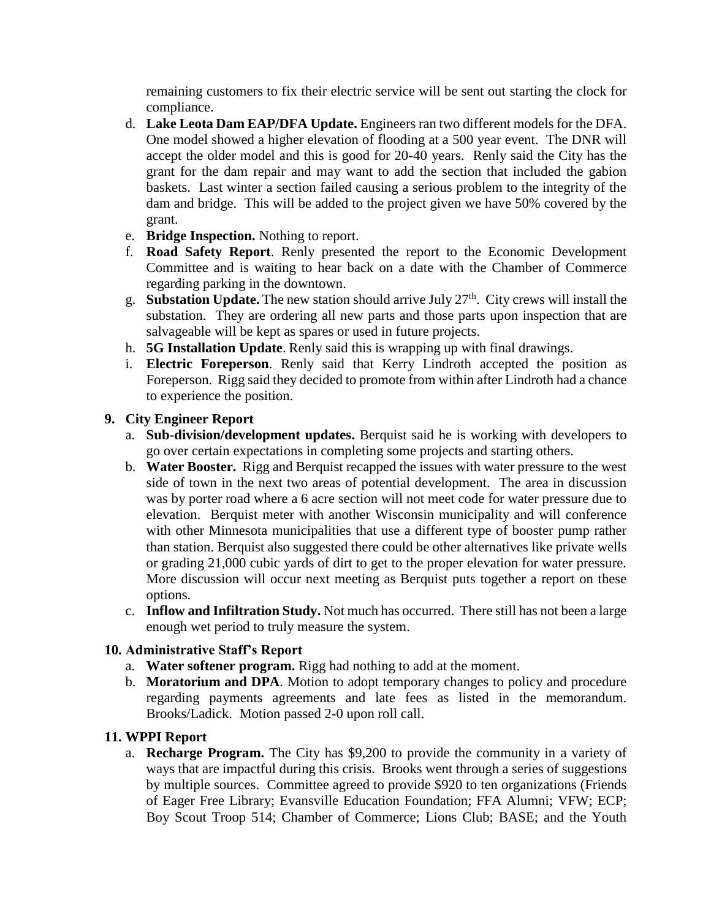remaining customers to fix their electric service will be sent out starting the clock for compliance.

- d. **Lake Leota Dam EAP/DFA Update.** Engineers ran two different models for the DFA. One model showed a higher elevation of flooding at a 500 year event. The DNR will accept the older model and this is good for 20-40 years. Renly said the City has the grant for the dam repair and may want to add the section that included the gabion baskets. Last winter a section failed causing a serious problem to the integrity of the dam and bridge. This will be added to the project given we have 50% covered by the grant.
- e. **Bridge Inspection.** Nothing to report.
- f. **Road Safety Report**. Renly presented the report to the Economic Development Committee and is waiting to hear back on a date with the Chamber of Commerce regarding parking in the downtown.
- g. **Substation Update.** The new station should arrive July 27th. City crews will install the substation. They are ordering all new parts and those parts upon inspection that are salvageable will be kept as spares or used in future projects.
- h. **5G Installation Update**. Renly said this is wrapping up with final drawings.
- i. **Electric Foreperson**. Renly said that Kerry Lindroth accepted the position as Foreperson. Rigg said they decided to promote from within after Lindroth had a chance to experience the position.

## **9. City Engineer Report**

- a. **Sub-division/development updates.** Berquist said he is working with developers to go over certain expectations in completing some projects and starting others.
- b. **Water Booster.** Rigg and Berquist recapped the issues with water pressure to the west side of town in the next two areas of potential development. The area in discussion was by porter road where a 6 acre section will not meet code for water pressure due to elevation. Berquist meter with another Wisconsin municipality and will conference with other Minnesota municipalities that use a different type of booster pump rather than station. Berquist also suggested there could be other alternatives like private wells or grading 21,000 cubic yards of dirt to get to the proper elevation for water pressure. More discussion will occur next meeting as Berquist puts together a report on these options.
- c. **Inflow and Infiltration Study.** Not much has occurred. There still has not been a large enough wet period to truly measure the system.

### **10. Administrative Staff's Report**

- a. **Water softener program.** Rigg had nothing to add at the moment.
- b. **Moratorium and DPA**. Motion to adopt temporary changes to policy and procedure regarding payments agreements and late fees as listed in the memorandum. Brooks/Ladick. Motion passed 2-0 upon roll call.

# **11. WPPI Report**

a. **Recharge Program.** The City has \$9,200 to provide the community in a variety of ways that are impactful during this crisis. Brooks went through a series of suggestions by multiple sources. Committee agreed to provide \$920 to ten organizations (Friends of Eager Free Library; Evansville Education Foundation; FFA Alumni; VFW; ECP; Boy Scout Troop 514; Chamber of Commerce; Lions Club; BASE; and the Youth